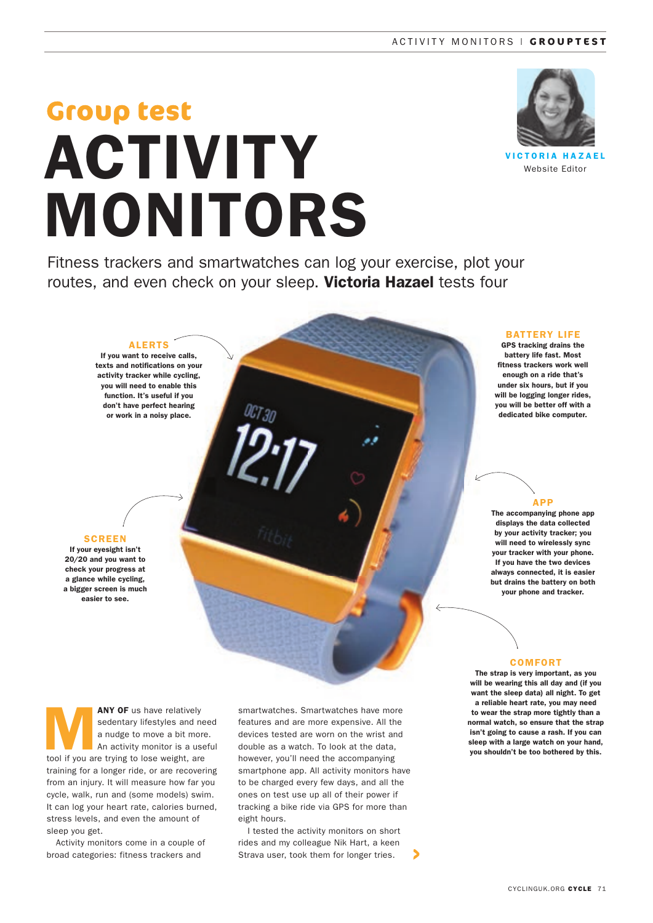# **Group test** ACTIVITY MONITORS



**VICTORIA HAZAEL** Website Editor

Fitness trackers and smartwatches can log your exercise, plot your routes, and even check on your sleep. Victoria Hazael tests four

## ALERTS

If you want to receive calls, texts and notifications on your activity tracker while cycling, you will need to enable this function. It's useful if you don't have perfect hearing or work in a noisy place.

## **SCREEN**

If your eyesight isn't 20/20 and you want to check your progress at a glance while cycling, a bigger screen is much easier to see.

BATTERY LIFE

GPS tracking drains the battery life fast. Most fitness trackers work well enough on a ride that's under six hours, but if you will be logging longer rides, you will be better off with a dedicated bike computer.

#### APP

The accompanying phone app displays the data collected by your activity tracker; you will need to wirelessly sync your tracker with your phone. If you have the two devices always connected, it is easier but drains the battery on both your phone and tracker.

#### COMFORT

The strap is very important, as you will be wearing this all day and (if you want the sleep data) all night. To get a reliable heart rate, you may need to wear the strap more tightly than a normal watch, so ensure that the strap isn't going to cause a rash. If you can sleep with a large watch on your hand. you shouldn't be too bothered by this.

**ANY OF** us have relatively<br>sedentary lifestyles and no<br>a nudge to move a bit mor<br>An activity monitor is a use<br>tool if you are trying to lose weight sedentary lifestyles and need a nudge to move a bit more. An activity monitor is a useful tool if you are trying to lose weight, are training for a longer ride, or are recovering from an injury. It will measure how far you cycle, walk, run and (some models) swim. It can log your heart rate, calories burned, stress levels, and even the amount of sleep you get.

Activity monitors come in a couple of broad categories: fitness trackers and

smartwatches. Smartwatches have more features and are more expensive. All the devices tested are worn on the wrist and double as a watch. To look at the data, however, you'll need the accompanying smartphone app. All activity monitors have to be charged every few days, and all the ones on test use up all of their power if tracking a bike ride via GPS for more than eight hours.

I tested the activity monitors on short rides and my colleague Nik Hart, a keen Strava user, took them for longer tries.

⋗